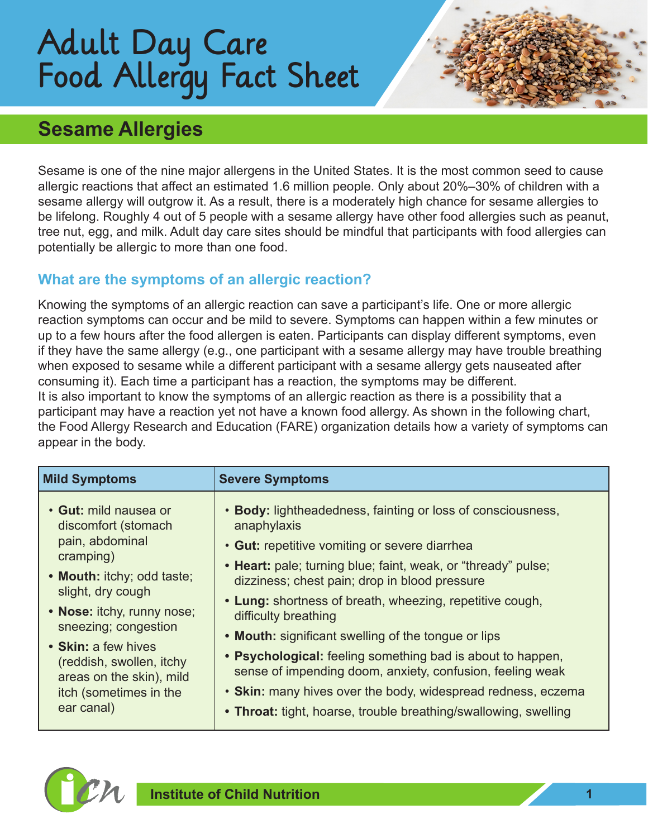# Adult Day Care Food Allergy Fact Sheet

### **Sesame Allergies**

Sesame is one of the nine major allergens in the United States. It is the most common seed to cause allergic reactions that affect an estimated 1.6 million people. Only about 20%–30% of children with a sesame allergy will outgrow it. As a result, there is a moderately high chance for sesame allergies to be lifelong. Roughly 4 out of 5 people with a sesame allergy have other food allergies such as peanut, tree nut, egg, and milk. Adult day care sites should be mindful that participants with food allergies can potentially be allergic to more than one food.

### **What are the symptoms of an allergic reaction?**

Knowing the symptoms of an allergic reaction can save a participant's life. One or more allergic reaction symptoms can occur and be mild to severe. Symptoms can happen within a few minutes or up to a few hours after the food allergen is eaten. Participants can display different symptoms, even if they have the same allergy (e.g., one participant with a sesame allergy may have trouble breathing when exposed to sesame while a different participant with a sesame allergy gets nauseated after consuming it). Each time a participant has a reaction, the symptoms may be different. It is also important to know the symptoms of an allergic reaction as there is a possibility that a participant may have a reaction yet not have a known food allergy. As shown in the following chart, the Food Allergy Research and Education (FARE) organization details how a variety of symptoms can appear in the body.

| <b>Mild Symptoms</b>                                                                                                                                                                                                                                                                                         | <b>Severe Symptoms</b>                                                                                                                                                                                                                                                                                                                                                                                                                                                                                                                                                                                                                                 |
|--------------------------------------------------------------------------------------------------------------------------------------------------------------------------------------------------------------------------------------------------------------------------------------------------------------|--------------------------------------------------------------------------------------------------------------------------------------------------------------------------------------------------------------------------------------------------------------------------------------------------------------------------------------------------------------------------------------------------------------------------------------------------------------------------------------------------------------------------------------------------------------------------------------------------------------------------------------------------------|
| • Gut: mild nausea or<br>discomfort (stomach<br>pain, abdominal<br>cramping)<br>• Mouth: itchy; odd taste;<br>slight, dry cough<br>• Nose: itchy, runny nose;<br>sneezing; congestion<br>• Skin: a few hives<br>(reddish, swollen, itchy<br>areas on the skin), mild<br>itch (sometimes in the<br>ear canal) | • Body: lightheadedness, fainting or loss of consciousness,<br>anaphylaxis<br>• Gut: repetitive vomiting or severe diarrhea<br>• Heart: pale; turning blue; faint, weak, or "thready" pulse;<br>dizziness; chest pain; drop in blood pressure<br>• Lung: shortness of breath, wheezing, repetitive cough,<br>difficulty breathing<br>• Mouth: significant swelling of the tongue or lips<br>• Psychological: feeling something bad is about to happen,<br>sense of impending doom, anxiety, confusion, feeling weak<br>• Skin: many hives over the body, widespread redness, eczema<br>• Throat: tight, hoarse, trouble breathing/swallowing, swelling |

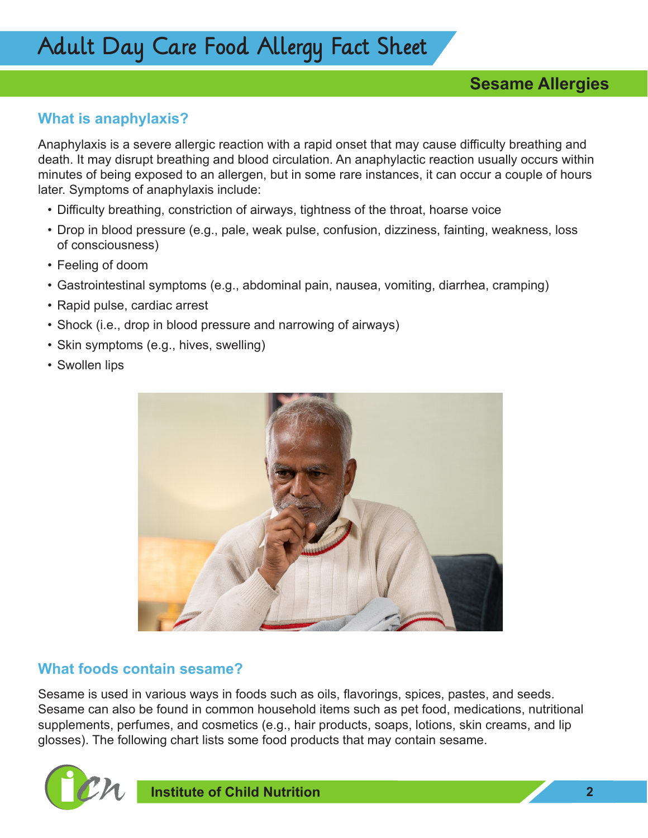### **What is anaphylaxis?**

Anaphylaxis is a severe allergic reaction with a rapid onset that may cause difficulty breathing and death. It may disrupt breathing and blood circulation. An anaphylactic reaction usually occurs within minutes of being exposed to an allergen, but in some rare instances, it can occur a couple of hours later. Symptoms of anaphylaxis include:

- Difficulty breathing, constriction of airways, tightness of the throat, hoarse voice
- Drop in blood pressure (e.g., pale, weak pulse, confusion, dizziness, fainting, weakness, loss of consciousness)
- Feeling of doom
- Gastrointestinal symptoms (e.g., abdominal pain, nausea, vomiting, diarrhea, cramping)
- Rapid pulse, cardiac arrest
- Shock (i.e., drop in blood pressure and narrowing of airways)
- Skin symptoms (e.g., hives, swelling)
- Swollen lips



### **What foods contain sesame?**

Sesame is used in various ways in foods such as oils, flavorings, spices, pastes, and seeds. Sesame can also be found in common household items such as pet food, medications, nutritional supplements, perfumes, and cosmetics (e.g., hair products, soaps, lotions, skin creams, and lip glosses). The following chart lists some food products that may contain sesame.



**institute of Child Nutrition 22 All 22 All 23 All 24 All 24 All 24 All 24 All 24 All 24 All 24 All 24 All 25 All 26 All 26 All 26 All 26 All 26 All 26 All 26 All 26 All 26 All 26 All 26 All 26 All 26 All 26 All 26 All 26**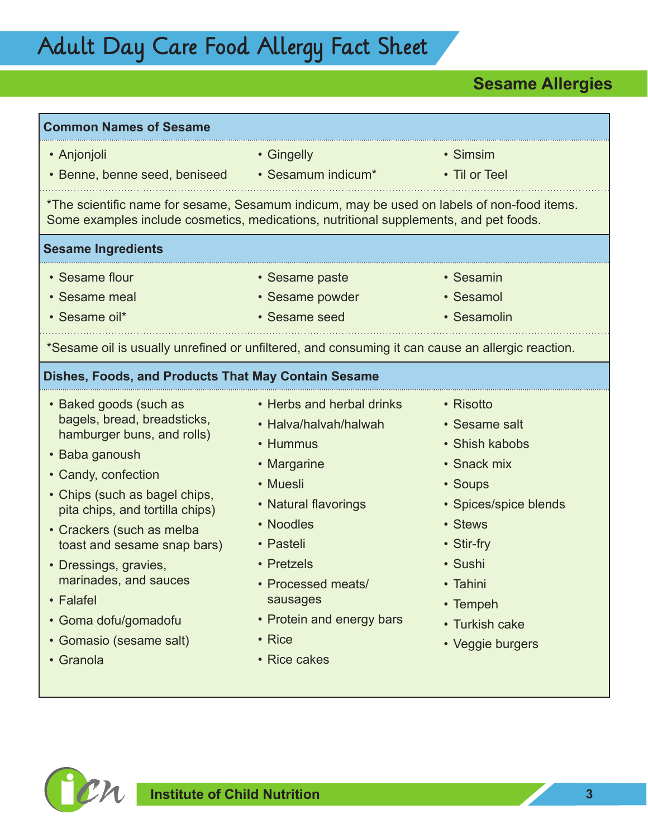| <b>Common Names of Sesame</b>                                                                                                                                                                                                                                                                                                                                                               |                                                                                                                                                                                                                                                    |                                                                                                                                                                                                   |  |  |
|---------------------------------------------------------------------------------------------------------------------------------------------------------------------------------------------------------------------------------------------------------------------------------------------------------------------------------------------------------------------------------------------|----------------------------------------------------------------------------------------------------------------------------------------------------------------------------------------------------------------------------------------------------|---------------------------------------------------------------------------------------------------------------------------------------------------------------------------------------------------|--|--|
| • Anjonjoli<br>• Benne, benne seed, beniseed                                                                                                                                                                                                                                                                                                                                                | • Gingelly<br>• Sesamum indicum*                                                                                                                                                                                                                   | • Simsim<br>• Til or Teel                                                                                                                                                                         |  |  |
| *The scientific name for sesame, Sesamum indicum, may be used on labels of non-food items.<br>Some examples include cosmetics, medications, nutritional supplements, and pet foods.                                                                                                                                                                                                         |                                                                                                                                                                                                                                                    |                                                                                                                                                                                                   |  |  |
| <b>Sesame Ingredients</b>                                                                                                                                                                                                                                                                                                                                                                   |                                                                                                                                                                                                                                                    |                                                                                                                                                                                                   |  |  |
| • Sesame flour<br>• Sesame meal<br>• Sesame oil*<br>*Sesame oil is usually unrefined or unfiltered, and consuming it can cause an allergic reaction.                                                                                                                                                                                                                                        | • Sesame paste<br>• Sesame powder<br>• Sesame seed                                                                                                                                                                                                 | • Sesamin<br>• Sesamol<br>• Sesamolin                                                                                                                                                             |  |  |
| Dishes, Foods, and Products That May Contain Sesame                                                                                                                                                                                                                                                                                                                                         |                                                                                                                                                                                                                                                    |                                                                                                                                                                                                   |  |  |
| • Baked goods (such as<br>bagels, bread, breadsticks,<br>hamburger buns, and rolls)<br>• Baba ganoush<br>• Candy, confection<br>• Chips (such as bagel chips,<br>pita chips, and tortilla chips)<br>• Crackers (such as melba<br>toast and sesame snap bars)<br>• Dressings, gravies,<br>marinades, and sauces<br>• Falafel<br>• Goma dofu/gomadofu<br>• Gomasio (sesame salt)<br>• Granola | • Herbs and herbal drinks<br>• Halva/halvah/halwah<br>• Hummus<br>• Margarine<br>• Muesli<br>• Natural flavorings<br>• Noodles<br>• Pasteli<br>• Pretzels<br>• Processed meats/<br>sausages<br>• Protein and energy bars<br>• Rice<br>• Rice cakes | • Risotto<br>• Sesame salt<br>• Shish kabobs<br>• Snack mix<br>• Soups<br>• Spices/spice blends<br>• Stews<br>• Stir-fry<br>• Sushi<br>• Tahini<br>• Tempeh<br>• Turkish cake<br>• Veggie burgers |  |  |

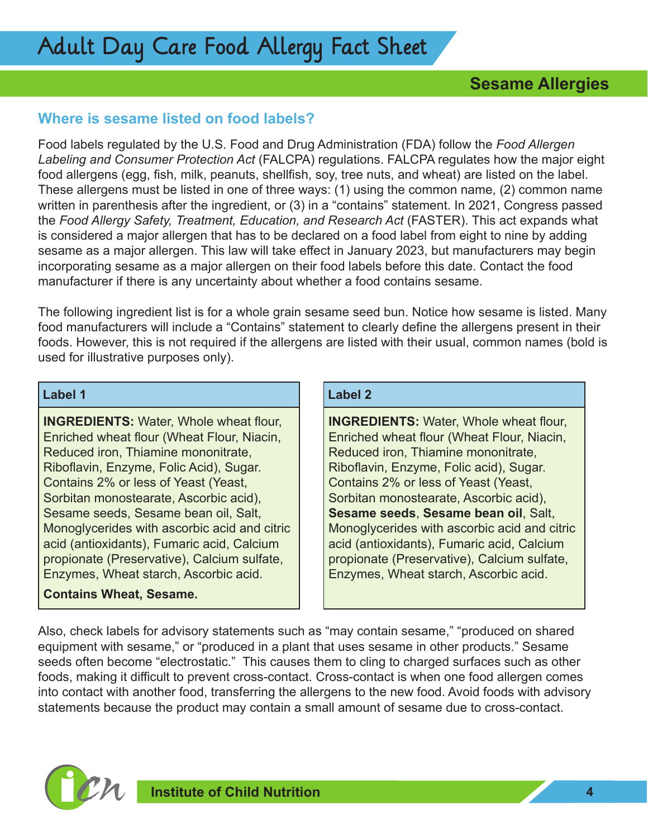### **Where is sesame listed on food labels?**

Food labels regulated by the U.S. Food and Drug Administration (FDA) follow the *Food Allergen Labeling and Consumer Protection Act* (FALCPA) regulations. FALCPA regulates how the major eight food allergens (egg, fish, milk, peanuts, shellfish, soy, tree nuts, and wheat) are listed on the label. These allergens must be listed in one of three ways: (1) using the common name, (2) common name written in parenthesis after the ingredient, or (3) in a "contains" statement. In 2021, Congress passed the *Food Allergy Safety, Treatment, Education, and Research Act* (FASTER). This act expands what is considered a major allergen that has to be declared on a food label from eight to nine by adding sesame as a major allergen. This law will take effect in January 2023, but manufacturers may begin incorporating sesame as a major allergen on their food labels before this date. Contact the food manufacturer if there is any uncertainty about whether a food contains sesame.

The following ingredient list is for a whole grain sesame seed bun. Notice how sesame is listed. Many food manufacturers will include a "Contains" statement to clearly define the allergens present in their foods. However, this is not required if the allergens are listed with their usual, common names (bold is used for illustrative purposes only).

#### **Label 1 Label 2**

**INGREDIENTS:** Water, Whole wheat flour, Enriched wheat flour (Wheat Flour, Niacin, Reduced iron, Thiamine mononitrate, Riboflavin, Enzyme, Folic Acid), Sugar. Contains 2% or less of Yeast (Yeast, Sorbitan monostearate, Ascorbic acid), Sesame seeds, Sesame bean oil, Salt, Monoglycerides with ascorbic acid and citric acid (antioxidants), Fumaric acid, Calcium propionate (Preservative), Calcium sulfate, Enzymes, Wheat starch, Ascorbic acid.

### **Contains Wheat, Sesame.**

**INGREDIENTS:** Water, Whole wheat flour, Enriched wheat flour (Wheat Flour, Niacin, Reduced iron, Thiamine mononitrate, Riboflavin, Enzyme, Folic acid), Sugar. Contains 2% or less of Yeast (Yeast, Sorbitan monostearate, Ascorbic acid), **Sesame seeds**, **Sesame bean oil**, Salt, Monoglycerides with ascorbic acid and citric acid (antioxidants), Fumaric acid, Calcium propionate (Preservative), Calcium sulfate, Enzymes, Wheat starch, Ascorbic acid.

Also, check labels for advisory statements such as "may contain sesame," "produced on shared equipment with sesame," or "produced in a plant that uses sesame in other products." Sesame seeds often become "electrostatic." This causes them to cling to charged surfaces such as other foods, making it difficult to prevent cross-contact. Cross-contact is when one food allergen comes into contact with another food, transferring the allergens to the new food. Avoid foods with advisory statements because the product may contain a small amount of sesame due to cross-contact.



**institute of Child Nutrition 44 Automaker 10 Automaker 10 Automaker 10 Automaker 10 Automaker 10 Automaker 10 Au**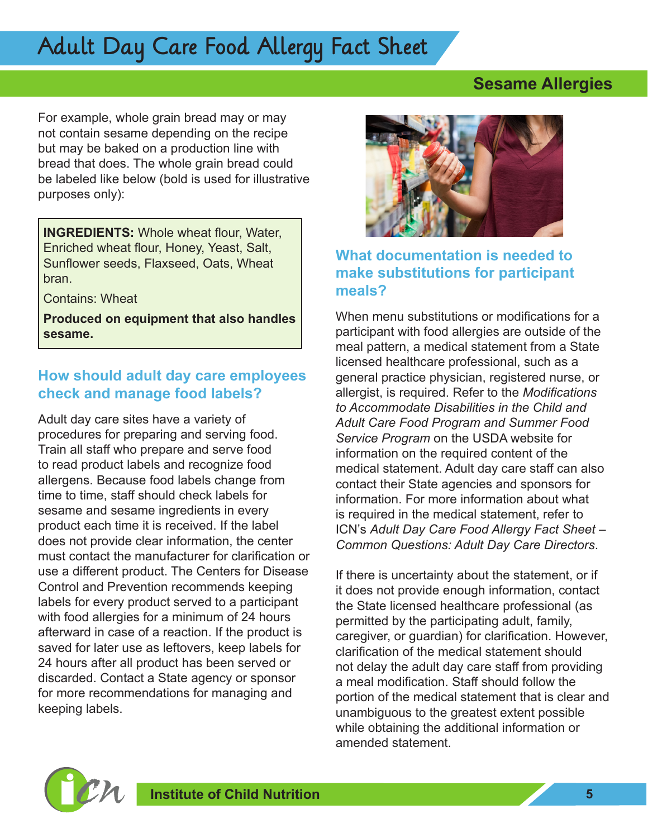## Adult Day Care Food Allergy Fact Sheet

### **Sesame Allergies**

For example, whole grain bread may or may not contain sesame depending on the recipe but may be baked on a production line with bread that does. The whole grain bread could be labeled like below (bold is used for illustrative purposes only):

**INGREDIENTS:** Whole wheat flour, Water, Enriched wheat flour, Honey, Yeast, Salt, Sunflower seeds, Flaxseed, Oats, Wheat bran.

Contains: Wheat

**Produced on equipment that also handles sesame.**

### **How should adult day care employees check and manage food labels?**

Adult day care sites have a variety of procedures for preparing and serving food. Train all staff who prepare and serve food to read product labels and recognize food allergens. Because food labels change from time to time, staff should check labels for sesame and sesame ingredients in every product each time it is received. If the label does not provide clear information, the center must contact the manufacturer for clarification or use a different product. The Centers for Disease Control and Prevention recommends keeping labels for every product served to a participant with food allergies for a minimum of 24 hours afterward in case of a reaction. If the product is saved for later use as leftovers, keep labels for 24 hours after all product has been served or discarded. Contact a State agency or sponsor for more recommendations for managing and keeping labels.



### **What documentation is needed to make substitutions for participant meals?**

When menu substitutions or modifications for a participant with food allergies are outside of the meal pattern, a medical statement from a State licensed healthcare professional, such as a general practice physician, registered nurse, or allergist, is required. Refer to the *Modifications to Accommodate Disabilities in the Child and Adult Care Food Program and Summer Food Service Program* on the USDA website for information on the required content of the medical statement. Adult day care staff can also contact their State agencies and sponsors for information. For more information about what is required in the medical statement, refer to ICN's *Adult Day Care Food Allergy Fact Sheet* – *Common Questions: Adult Day Care Directors*.

If there is uncertainty about the statement, or if it does not provide enough information, contact the State licensed healthcare professional (as permitted by the participating adult, family, caregiver, or guardian) for clarification. However, clarification of the medical statement should not delay the adult day care staff from providing a meal modification. Staff should follow the portion of the medical statement that is clear and unambiguous to the greatest extent possible while obtaining the additional information or amended statement.

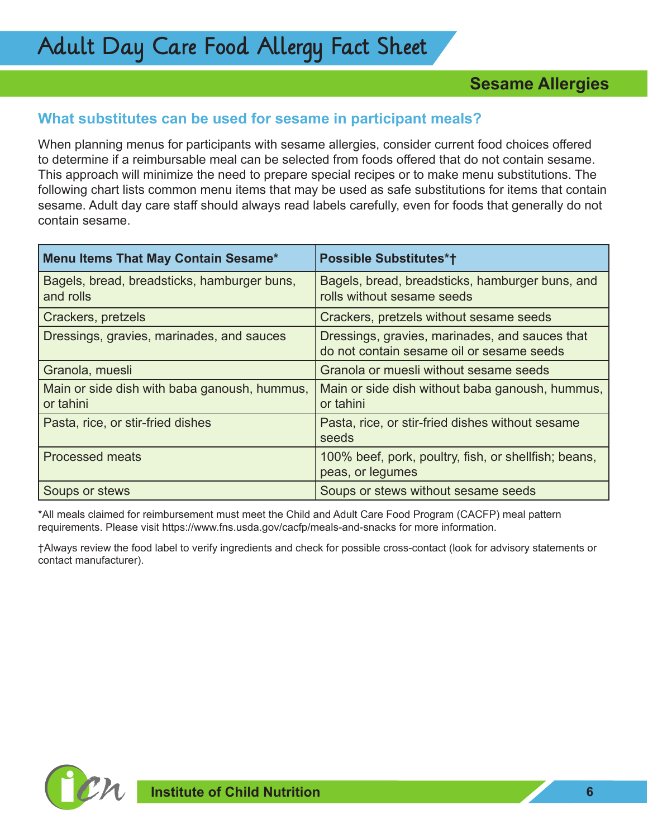### **What substitutes can be used for sesame in participant meals?**

When planning menus for participants with sesame allergies, consider current food choices offered to determine if a reimbursable meal can be selected from foods offered that do not contain sesame. This approach will minimize the need to prepare special recipes or to make menu substitutions. The following chart lists common menu items that may be used as safe substitutions for items that contain sesame. Adult day care staff should always read labels carefully, even for foods that generally do not contain sesame.

| Menu Items That May Contain Sesame*                       | <b>Possible Substitutes*t</b>                                                               |
|-----------------------------------------------------------|---------------------------------------------------------------------------------------------|
| Bagels, bread, breadsticks, hamburger buns,<br>and rolls  | Bagels, bread, breadsticks, hamburger buns, and<br>rolls without sesame seeds               |
| Crackers, pretzels                                        | Crackers, pretzels without sesame seeds                                                     |
| Dressings, gravies, marinades, and sauces                 | Dressings, gravies, marinades, and sauces that<br>do not contain sesame oil or sesame seeds |
| Granola, muesli                                           | Granola or muesli without sesame seeds                                                      |
| Main or side dish with baba ganoush, hummus,<br>or tahini | Main or side dish without baba ganoush, hummus,<br>or tahini                                |
| Pasta, rice, or stir-fried dishes                         | Pasta, rice, or stir-fried dishes without sesame<br>seeds                                   |
| <b>Processed meats</b>                                    | 100% beef, pork, poultry, fish, or shellfish; beans,<br>peas, or legumes                    |
| Soups or stews                                            | Soups or stews without sesame seeds                                                         |

\*All meals claimed for reimbursement must meet the Child and Adult Care Food Program (CACFP) meal pattern requirements. Please visit<https://www.fns.usda.gov/cacfp/meals-and-snacks> for more information.

†Always review the food label to verify ingredients and check for possible cross-contact (look for advisory statements or contact manufacturer).

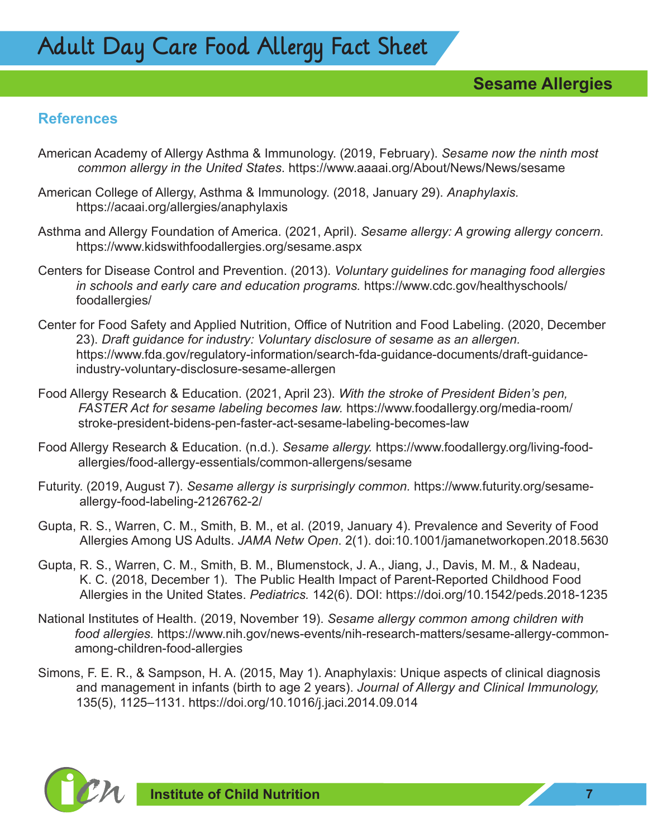### **References**

- American Academy of Allergy Asthma & Immunology. (2019, February). *Sesame now the ninth most common allergy in the United States*. <https://www.aaaai.org/About/News/News/sesame>
- American College of Allergy, Asthma & Immunology. (2018, January 29). *Anaphylaxis.*  <https://acaai.org/allergies/anaphylaxis>
- Asthma and Allergy Foundation of America. (2021, April). *Sesame allergy: A growing allergy concern.* <https://www.kidswithfoodallergies.org/sesame.aspx>
- Centers for Disease Control and Prevention. (2013). *Voluntary guidelines for managing food allergies in schools and early care and education programs.* [https://www.cdc.gov/healthyschools/](https://www.cdc.gov/healthyschools/foodallergies/) [foodallergies/](https://www.cdc.gov/healthyschools/foodallergies/)
- Center for Food Safety and Applied Nutrition, Office of Nutrition and Food Labeling. (2020, December 23). *Draft guidance for industry: Voluntary disclosure of sesame as an allergen.*  [https://www.fda.gov/regulatory-information/search-fda-guidance-documents/draft-guidance](https://www.fda.gov/regulatory-information/search-fda-guidance-documents/draft-guidance-industry-voluntary-disclosure-sesame-allergen)[industry-voluntary-disclosure-sesame-allergen](https://www.fda.gov/regulatory-information/search-fda-guidance-documents/draft-guidance-industry-voluntary-disclosure-sesame-allergen)
- Food Allergy Research & Education. (2021, April 23). *With the stroke of President Biden's pen, FASTER Act for sesame labeling becomes law.* [https://www.foodallergy.org/media-room/](https://www.foodallergy.org/media-room/stroke-president-bidens-pen-faster-act-sesame-labeling-becomes-law) [stroke-president-bidens-pen-faster-act-sesame-labeling-becomes-law](https://www.foodallergy.org/media-room/stroke-president-bidens-pen-faster-act-sesame-labeling-becomes-law)
- Food Allergy Research & Education. (n.d.). *Sesame allergy.* [https://www.foodallergy.org/living-food](https://www.foodallergy.org/living-food-allergies/food-allergy-essentials/common-allergens/sesame)[allergies/food-allergy-essentials/common-allergens/sesame](https://www.foodallergy.org/living-food-allergies/food-allergy-essentials/common-allergens/sesame)
- Futurity. (2019, August 7). *Sesame allergy is surprisingly common.* [https://www.futurity.org/sesame](https://www.futurity.org/sesame-allergy-food-labeling-2126762-2/)[allergy-food-labeling-2126762-2/](https://www.futurity.org/sesame-allergy-food-labeling-2126762-2/)
- Gupta, R. S., Warren, C. M., Smith, B. M., et al. (2019, January 4). Prevalence and Severity of Food Allergies Among US Adults. *JAMA Netw Open*. 2(1). doi:10.1001/jamanetworkopen.2018.5630
- Gupta, R. S., Warren, C. M., Smith, B. M., Blumenstock, J. A., Jiang, J., Davis, M. M., & Nadeau, K. C. (2018, December 1). The Public Health Impact of Parent-Reported Childhood Food Allergies in the United States. *Pediatrics.* 142(6). DOI: [https://doi.org/10.1542/peds.2018-1235](https://publications.aap.org/pediatrics/article/142/6/e20181235/76867/The-Public-Health-Impact-of-Parent-Reported)
- National Institutes of Health. (2019, November 19). *Sesame allergy common among children with food allergies.* [https://www.nih.gov/news-events/nih-research-matters/sesame-allergy-common](https://www.nih.gov/news-events/nih-research-matters/sesame-allergy-common-among-children-food-allergies)[among-children-food-allergies](https://www.nih.gov/news-events/nih-research-matters/sesame-allergy-common-among-children-food-allergies)
- Simons, F. E. R., & Sampson, H. A. (2015, May 1). Anaphylaxis: Unique aspects of clinical diagnosis and management in infants (birth to age 2 years). *Journal of Allergy and Clinical Immunology,* 135(5), 1125–1131.<https://doi.org/10.1016/j.jaci.2014.09.014>



**institute of Child Nutrition 7 institute of Child Nutrition**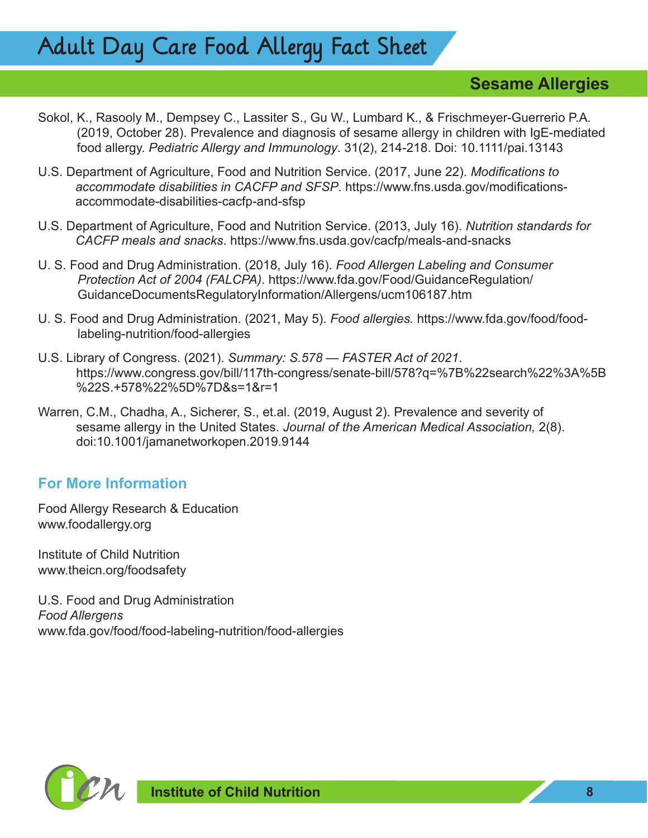## Adult Day Care Food Allergy Fact Sheet

### **Sesame Allergies**

- Sokol, K., Rasooly M., Dempsey C., Lassiter S., Gu W., Lumbard K., & Frischmeyer-Guerrerio P.A. (2019, October 28). Prevalence and diagnosis of sesame allergy in children with IgE-mediated food allergy. *Pediatric Allergy and Immunology*. 31(2), 214-218. Doi: 10.1111/pai.13143
- U.S. Department of Agriculture, Food and Nutrition Service. (2017, June 22). *Modifications to accommodate disabilities in CACFP and SFSP*. [https://www.fns.usda.gov/modifications](https://www.fns.usda.gov/modifications-accommodate-disabilities-cacfp-and-sfsp)[accommodate-disabilities-cacfp-and-sfsp](https://www.fns.usda.gov/modifications-accommodate-disabilities-cacfp-and-sfsp)
- U.S. Department of Agriculture, Food and Nutrition Service. (2013, July 16). *Nutrition standards for CACFP meals and snacks*. <https://www.fns.usda.gov/cacfp/meals-and-snacks>
- U. S. Food and Drug Administration. (2018, July 16). *Food Allergen Labeling and Consumer Protection Act of 2004 (FALCPA)*. [https://www.fda.gov/Food/GuidanceRegulation/](https://www.fda.gov/Food/GuidanceRegulation/GuidanceDocumentsRegulatoryInformation/Allergens/ucm106187.htm) [GuidanceDocumentsRegulatoryInformation/Allergens/ucm106187.htm](https://www.fda.gov/Food/GuidanceRegulation/GuidanceDocumentsRegulatoryInformation/Allergens/ucm106187.htm)
- U. S. Food and Drug Administration. (2021, May 5). *Food allergies.* [https://www.fda.gov/food/food](https://www.fda.gov/food/food-labeling-nutrition/food-allergies)[labeling-nutrition/food-allergies](https://www.fda.gov/food/food-labeling-nutrition/food-allergies)
- U.S. Library of Congress. (2021). *Summary: S.578 FASTER Act of 2021*. [https://www.congress.gov/bill/117th-congress/senate-bill/578?q=%7B%22search%22%3A%5B](https://www.congress.gov/bill/117th-congress/senate-bill/578?q=%7B%22search%22%3A%5B%22S.+578%22%5D%7D&s=1&r=1) [%22S.+578%22%5D%7D&s=1&r=1](https://www.congress.gov/bill/117th-congress/senate-bill/578?q=%7B%22search%22%3A%5B%22S.+578%22%5D%7D&s=1&r=1)
- Warren, C.M., Chadha, A., Sicherer, S., [et.al](http://et.al). (2019, August 2). Prevalence and severity of sesame allergy in the United States. *Journal of the American Medical Association,* 2(8). doi:10.1001/jamanetworkopen.2019.9144

### **For More Information**

Food Allergy Research & Education [www.foodallergy.org](http://www.foodallergy.org)

Institute of Child Nutrition [www.theicn.org/foodsafety](http://www.theicn.org/foodsafety)

U.S. Food and Drug Administration *Food Allergens* [www.fda.gov/food/food-labeling-nutrition/food-allergies](http://www.fda.gov/food/food-labeling-nutrition/food-allergies)